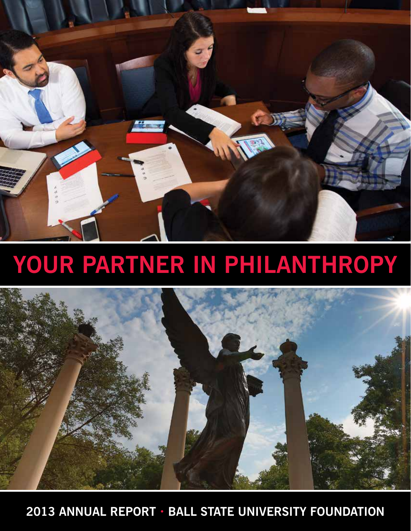

# **Your Partner in Philanthropy**



**2013 Annual Report • Ball State University Foundation**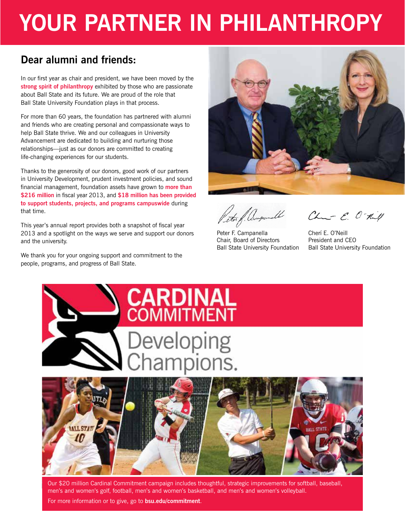# **Your Partner in Philanthropy**

### **Dear alumni and friends:**

In our first year as chair and president, we have been moved by the **strong spirit of philanthropy** exhibited by those who are passionate about Ball State and its future. We are proud of the role that Ball State University Foundation plays in that process.

For more than 60 years, the foundation has partnered with alumni and friends who are creating personal and compassionate ways to help Ball State thrive. We and our colleagues in University Advancement are dedicated to building and nurturing those relationships—just as our donors are committed to creating life-changing experiences for our students.

Thanks to the generosity of our donors, good work of our partners in University Development, prudent investment policies, and sound financial management, foundation assets have grown to **more than \$216 million** in fiscal year 2013, and **\$18 million has been provided to support students, projects, and programs campuswide** during that time.

This year's annual report provides both a snapshot of fiscal year 2013 and a spotlight on the ways we serve and support our donors and the university.

We thank you for your ongoing support and commitment to the people, programs, and progress of Ball State.



ter of Campanell

Peter F. Campanella Chair, Board of Directors Ball State University Foundation

Chur E. O-till

Cherí E. O'Neill President and CEO Ball State University Foundation



Our \$20 million Cardinal Commitment campaign includes thoughtful, strategic improvements for softball, baseball, men's and women's golf, football, men's and women's basketball, and men's and women's volleyball.

For more information or to give, go to **bsu.edu/commitment**.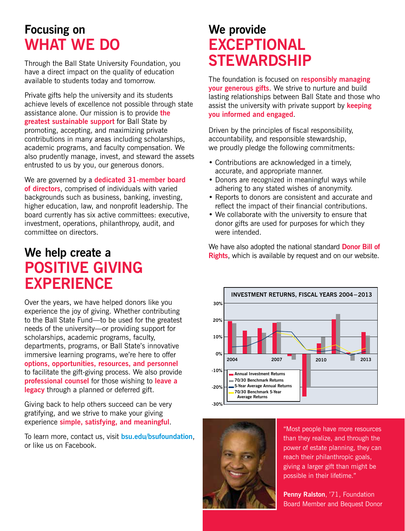# **Focusing on What We Do**

Through the Ball State University Foundation, you have a direct impact on the quality of education available to students today and tomorrow.

Private gifts help the university and its students achieve levels of excellence not possible through state assistance alone. Our mission is to provide **the greatest sustainable support** for Ball State by promoting, accepting, and maximizing private contributions in many areas including scholarships, academic programs, and faculty compensation. We also prudently manage, invest, and steward the assets entrusted to us by you, our generous donors.

We are governed by a **dedicated 31-member board of directors**, comprised of individuals with varied backgrounds such as business, banking, investing, higher education, law, and nonprofit leadership. The board currently has six active committees: executive, investment, operations, philanthropy, audit, and committee on directors.

## **We help create a POSITIVE GIVING EXPERIENCE**

Over the years, we have helped donors like you experience the joy of giving. Whether contributing to the Ball State Fund—to be used for the greatest needs of the university—or providing support for scholarships, academic programs, faculty, departments, programs, or Ball State's innovative immersive learning programs, we're here to offer **options, opportunities, resources, and personnel** to facilitate the gift-giving process. We also provide **professional counsel** for those wishing to **leave a legacy** through a planned or deferred gift.

Giving back to help others succeed can be very gratifying, and we strive to make your giving experience **simple, satisfying, and meaningful**.

To learn more, contact us, visit **bsu.edu/bsufoundation**, or like us on Facebook.

# **We provide EXCEPTIONAL STEWARDSHIP**

The foundation is focused on **responsibly managing your generous gifts**. We strive to nurture and build lasting relationships between Ball State and those who assist the university with private support by **keeping you informed and engaged**.

Driven by the principles of fiscal responsibility, accountability, and responsible stewardship, we proudly pledge the following commitments:

- Contributions are acknowledged in a timely, accurate, and appropriate manner.
- Donors are recognized in meaningful ways while adhering to any stated wishes of anonymity.
- Reports to donors are consistent and accurate and reflect the impact of their financial contributions.
- We collaborate with the university to ensure that donor gifts are used for purposes for which they were intended.

We have also adopted the national standard **Donor Bill of Rights**, which is available by request and on our website.



"Most people have more resources than they realize, and through the power of estate planning, they can reach their philanthropic goals, giving a larger gift than might be possible in their lifetime."

**Penny Ralston**, '71, Foundation Board Member and Bequest Donor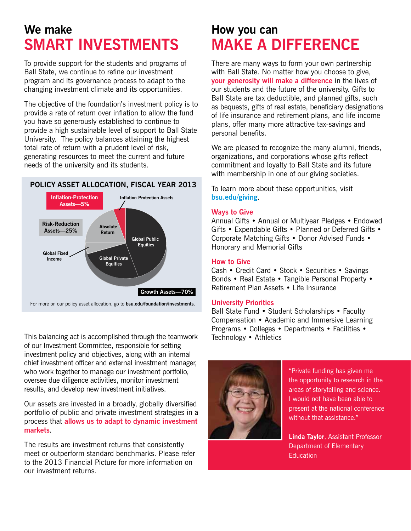# **We make SMART INVESTMENTS**

To provide support for the students and programs of Ball State, we continue to refine our investment program and its governance process to adapt to the changing investment climate and its opportunities.

The objective of the foundation's investment policy is to provide a rate of return over inflation to allow the fund you have so generously established to continue to provide a high sustainable level of support to Ball State University. The policy balances attaining the highest total rate of return with a prudent level of risk, generating resources to meet the current and future needs of the university and its students.

#### **POLICY ASSET ALLOCATION, FISCAL YEAR 2013**



This balancing act is accomplished through the teamwork of our Investment Committee, responsible for setting investment policy and objectives, along with an internal chief investment officer and external investment manager, who work together to manage our investment portfolio, oversee due diligence activities, monitor investment results, and develop new investment initiatives.

Our assets are invested in a broadly, globally diversified portfolio of public and private investment strategies in a process that **allows us to adapt to dynamic investment markets**.

The results are investment returns that consistently meet or outperform standard benchmarks. Please refer to the 2013 Financial Picture for more information on our investment returns.

# **How you can MAKE A DIFFERENCE**

There are many ways to form your own partnership with Ball State. No matter how you choose to give, **your generosity will make a difference** in the lives of our students and the future of the university. Gifts to Ball State are tax deductible, and planned gifts, such as bequests, gifts of real estate, beneficiary designations of life insurance and retirement plans, and life income plans, offer many more attractive tax-savings and personal benefits.

We are pleased to recognize the many alumni, friends, organizations, and corporations whose gifts reflect commitment and loyalty to Ball State and its future with membership in one of our giving societies.

To learn more about these opportunities, visit **bsu.edu/giving**.

#### **Ways to Give**

Annual Gifts • Annual or Multiyear Pledges • Endowed Gifts • Expendable Gifts • Planned or Deferred Gifts • Corporate Matching Gifts • Donor Advised Funds • Honorary and Memorial Gifts

#### **How to Give**

Cash • Credit Card • Stock • Securities • Savings Bonds • Real Estate • Tangible Personal Property • Retirement Plan Assets • Life Insurance

#### **University Priorities**

Ball State Fund • Student Scholarships • Faculty Compensation • Academic and Immersive Learning Programs • Colleges • Departments • Facilities • Technology • Athletics



"Private funding has given me the opportunity to research in the areas of storytelling and science. I would not have been able to present at the national conference without that assistance."

**Linda Taylor**, Assistant Professor Department of Elementary **Education**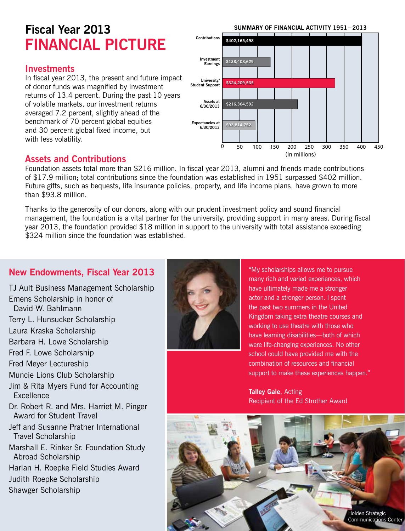# **Fiscal Year 2013 FINANCIAL PICTURE**

### **Investments**

In fiscal year 2013, the present and future impact of donor funds was magnified by investment returns of 13.4 percent. During the past 10 years of volatile markets, our investment returns averaged 7.2 percent, slightly ahead of the benchmark of 70 percent global equities and 30 percent global fixed income, but with less volatility.

#### 0 50 100 150 200 250 300 350 400 450 **Contributions Investment Earnings University/ Student Support Assets at 6/30/2013 Expectancies at 6/30/2013** (in millions) **SUMMARY OF FINANCIAL ACTIVITY 1951−2013 \$93,814,752 \$216,364,592 \$324,209,535 \$138,408,629 \$402,165,498**

### **Assets and Contributions**

Foundation assets total more than \$216 million. In fiscal year 2013, alumni and friends made contributions of \$17.9 million; total contributions since the foundation was established in 1951 surpassed \$402 million. Future gifts, such as bequests, life insurance policies, property, and life income plans, have grown to more than \$93.8 million.

Thanks to the generosity of our donors, along with our prudent investment policy and sound financial management, the foundation is a vital partner for the university, providing support in many areas. During fiscal year 2013, the foundation provided \$18 million in support to the university with total assistance exceeding \$324 million since the foundation was established.

### **New Endowments, Fiscal Year 2013**

TJ Ault Business Management Scholarship Emens Scholarship in honor of David W. Bahlmann Terry L. Hunsucker Scholarship Laura Kraska Scholarship Barbara H. Lowe Scholarship Fred F. Lowe Scholarship Fred Meyer Lectureship Muncie Lions Club Scholarship Jim & Rita Myers Fund for Accounting **Excellence** Dr. Robert R. and Mrs. Harriet M. Pinger Award for Student Travel Jeff and Susanne Prather International Travel Scholarship Marshall E. Rinker Sr. Foundation Study Abroad Scholarship Harlan H. Roepke Field Studies Award Judith Roepke Scholarship Shawger Scholarship



"My scholarships allows me to pursue many rich and varied experiences, which have ultimately made me a stronger actor and a stronger person. I spent the past two summers in the United Kingdom taking extra theatre courses and working to use theatre with those who have learning disabilities—both of which were life-changing experiences. No other school could have provided me with the combination of resources and financial support to make these experiences happen."

**Talley Gale**, Acting Recipient of the Ed Strother Award

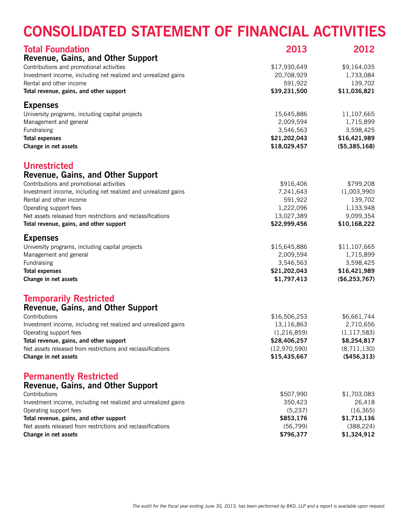# **Consolidated Statement of Financial Activities**

| <b>Total Foundation</b>                                        | 2013         | 2012          |  |
|----------------------------------------------------------------|--------------|---------------|--|
| Revenue, Gains, and Other Support                              |              |               |  |
| Contributions and promotional activities                       | \$17,930,649 | \$9,164,035   |  |
| Investment income, including net realized and unrealized gains | 20,708,929   | 1,733,084     |  |
| Rental and other income                                        | 591,922      | 139,702       |  |
| Total revenue, gains, and other support                        | \$39,231,500 | \$11,036,821  |  |
| <b>Expenses</b>                                                |              |               |  |
| University programs, including capital projects                | 15,645,886   | 11,107,665    |  |
| Management and general                                         | 2,009,594    | 1,715,899     |  |
| Fundraising                                                    | 3,546,563    | 3,598,425     |  |
| <b>Total expenses</b>                                          | \$21,202,043 | \$16,421,989  |  |
| Change in net assets                                           | \$18,029,457 | (\$5,385,168) |  |
| <b>Unrestricted</b>                                            |              |               |  |
| Revenue, Gains, and Other Support                              |              |               |  |
| Contributions and promotional activities                       | \$916,406    | \$799,208     |  |
| Investment income, including net realized and unrealized gains | 7,241,643    | (1,003,990)   |  |
| Rental and other income                                        | 591,922      | 139,702       |  |
| Operating support fees                                         | 1,222,096    | 1,133,948     |  |
| Net assets released from restrictions and reclassifications    | 13,027,389   | 9,099,354     |  |
| Total revenue, gains, and other support                        | \$22,999,456 | \$10,168,222  |  |
| <b>Expenses</b>                                                |              |               |  |
| University programs, including capital projects                | \$15,645,886 | \$11,107,665  |  |
| Management and general                                         | 2,009,594    | 1,715,899     |  |
| Fundraising                                                    | 3,546,563    | 3,598,425     |  |
| <b>Total expenses</b>                                          | \$21,202,043 | \$16,421,989  |  |
| Change in net assets                                           | \$1,797,413  | (\$6,253,767) |  |
| <b>Temporarily Restricted</b>                                  |              |               |  |
| Revenue, Gains, and Other Support                              |              |               |  |
| Contributions                                                  | \$16,506,253 | \$6,661,744   |  |
| Investment income, including net realized and unrealized gains | 13,116,863   | 2,710,656     |  |
| Operating support fees                                         | (1,216,859)  | (1, 117, 583) |  |
| Total revenue, gains, and other support                        | \$28,406,257 | \$8,254,817   |  |
| Net assets released from restrictions and reclassifications    | (12,970,590) | (8,711,130)   |  |
| Change in net assets                                           | \$15,435,667 | (\$456,313)   |  |
| <b>Permanently Restricted</b>                                  |              |               |  |
| Revenue, Gains, and Other Support                              |              |               |  |
| Contributions                                                  | \$507,990    | \$1,703,083   |  |
| Investment income, including net realized and unrealized gains | 350,423      | 26,418        |  |
| Operating support fees                                         | (5,237)      | (16, 365)     |  |
| Total revenue, gains, and other support                        | \$853,176    | \$1,713,136   |  |
| Net assets released from restrictions and reclassifications    | (56, 799)    | (388, 224)    |  |
| Change in net assets                                           | \$796,377    | \$1,324,912   |  |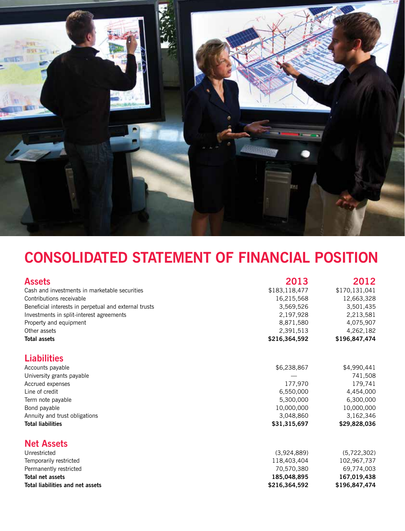

# **Consolidated Statement of Financial Position**

| <b>Assets</b>                                         | 2013          | 2012          |
|-------------------------------------------------------|---------------|---------------|
| Cash and investments in marketable securities         | \$183,118,477 | \$170,131,041 |
| Contributions receivable                              | 16,215,568    | 12,663,328    |
| Beneficial interests in perpetual and external trusts | 3,569,526     | 3,501,435     |
| Investments in split-interest agreements              | 2,197,928     | 2,213,581     |
| Property and equipment                                | 8,871,580     | 4,075,907     |
| Other assets                                          | 2,391,513     | 4,262,182     |
| <b>Total assets</b>                                   | \$216,364,592 | \$196,847,474 |
| <b>Liabilities</b>                                    |               |               |
| Accounts payable                                      | \$6,238,867   | \$4,990,441   |
| University grants payable                             |               | 741,508       |
| Accrued expenses                                      | 177,970       | 179,741       |
| Line of credit                                        | 6,550,000     | 4,454,000     |
| Term note payable                                     | 5,300,000     | 6,300,000     |
| Bond payable                                          | 10,000,000    | 10,000,000    |
| Annuity and trust obligations                         | 3,048,860     | 3,162,346     |
| <b>Total liabilities</b>                              | \$31,315,697  | \$29,828,036  |
| <b>Net Assets</b>                                     |               |               |
| Unrestricted                                          | (3,924,889)   | (5,722,302)   |
| Temporarily restricted                                | 118,403,404   | 102,967,737   |
| Permanently restricted                                | 70,570,380    | 69,774,003    |
| Total net assets                                      | 185,048,895   | 167,019,438   |
| Total liabilities and net assets                      | \$216,364,592 | \$196,847,474 |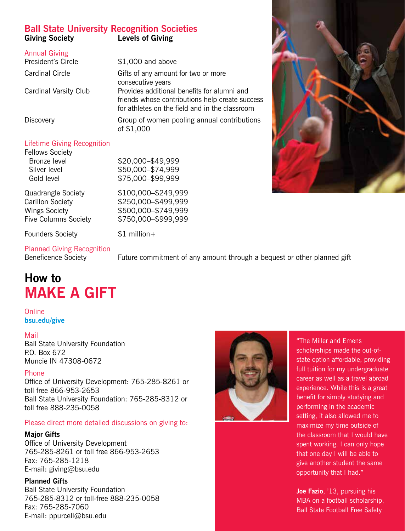### **Ball State University Recognition Societies Levels of Giving**

| <b>Annual Giving</b><br>President's Circle | $$1,000$ and above                                                                                                                               |
|--------------------------------------------|--------------------------------------------------------------------------------------------------------------------------------------------------|
| <b>Cardinal Circle</b>                     | Gifts of any amount for two or more<br>consecutive years                                                                                         |
| <b>Cardinal Varsity Club</b>               | Provides additional benefits for alumni and<br>friends whose contributions help create success<br>for athletes on the field and in the classroom |
| Discovery                                  | Group of women pooling annual contributions<br>of \$1,000                                                                                        |

### Lifetime Giving Recognition

Fellows Society Bronze level \$20,000–\$49,999 Silver level \$50,000-\$74,999 Gold level \$75,000–\$99,999

Quadrangle Society \$100,000–\$249,999 Carillon Society \$250,000–\$499,999 Wings Society \$500,000–\$749,999 Five Columns Society \$750,000–\$999,999

Founders Society  $$1$  million +

Planned Giving Recognition

Beneficence Society Future commitment of any amount through a bequest or other planned gift

# **How to MAKE A GIFT**

#### **Online bsu.edu/give**

### Mail

Ball State University Foundation P.O. Box 672 Muncie IN 47308-0672

### Phone

Office of University Development: 765-285-8261 or toll free 866-953-2653 Ball State University Foundation: 765-285-8312 or toll free 888-235-0058

### Please direct more detailed discussions on giving to:

### **Major Gifts**

Office of University Development 765-285-8261 or toll free 866-953-2653 Fax: 765-285-1218 E-mail: giving@bsu.edu

### **Planned Gifts**

Ball State University Foundation 765-285-8312 or toll-free 888-235-0058 Fax: 765-285-7060 E-mail: ppurcell@bsu.edu



"The Miller and Emens scholarships made the out-ofstate option affordable, providing full tuition for my undergraduate career as well as a travel abroad experience. While this is a great benefit for simply studying and performing in the academic setting, it also allowed me to maximize my time outside of the classroom that I would have spent working. I can only hope that one day I will be able to give another student the same opportunity that I had."

**Joe Fazio**, '13, pursuing his MBA on a football scholarship, Ball State Football Free Safety

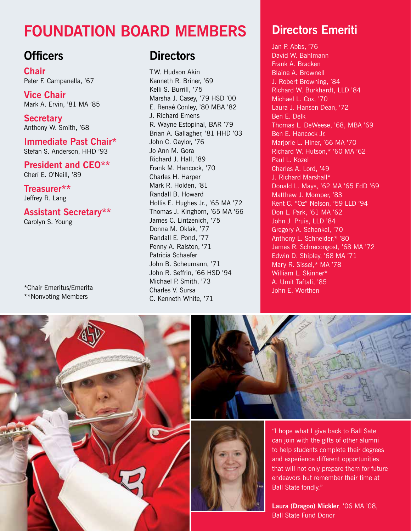# **Foundation Board Members**

### **Officers**

**Chair** Peter F. Campanella, '67

**Vice Chair** Mark A. Ervin, '81 MA '85

**Secretary** Anthony W. Smith, '68

**Immediate Past Chair\*** Stefan S. Anderson, HHD '93

**President and CEO\*\*** Cherí E. O'Neill, '89

**Treasurer\*\*** Jeffrey R. Lang

## **Assistant Secretary\*\***

Carolyn S. Young

\*Chair Emeritus/Emerita \*\*Nonvoting Members

### **Directors**

T.W. Hudson Akin Kenneth R. Briner, '69 Kelli S. Burrill, '75 Marsha J. Casey, '79 HSD '00 E. Renaé Conley, '80 MBA '82 J. Richard Emens R. Wayne Estopinal, BAR '79 Brian A. Gallagher, '81 HHD '03 John C. Gaylor, '76 Jo Ann M. Gora Richard J. Hall, '89 Frank M. Hancock, '70 Charles H. Harper Mark R. Holden, '81 Randall B. Howard Hollis E. Hughes Jr., '65 MA '72 Thomas J. Kinghorn, '65 MA '66 James C. Lintzenich, '75 Donna M. Oklak, '77 Randall E. Pond, '77 Penny A. Ralston, '71 Patricia Schaefer John B. Scheumann, '71 John R. Seffrin, '66 HSD '94 Michael P. Smith, '73 Charles V. Sursa C. Kenneth White, '71

# **Directors Emeriti**

Jan P. Abbs, '76 David W. Bahlmann Frank A. Bracken Blaine A. Brownell J. Robert Browning, '84 Richard W. Burkhardt, LLD '84 Michael L. Cox, '70 Laura J. Hansen Dean, '72 Ben E. Delk Thomas L. DeWeese, '68, MBA '69 Ben E. Hancock Jr. Marjorie L. Hiner, '66 MA '70 Richard W. Hutson,\* '60 MA '62 Paul L. Kozel Charles A. Lord, '49 J. Richard Marshall\* Donald L. Mays, '62 MA '65 EdD '69 Matthew J. Momper, '83 Kent C. "Oz" Nelson, '59 LLD '94 Don L. Park, '61 MA '62 John J Pruis, LLD '84 Gregory A. Schenkel, '70 Anthony L. Schneider,\* '80 James R. Schrecongost, '68 MA '72 Edwin D. Shipley, '68 MA '71 Mary R. Sissel,\* MA '78 William L. Skinner\* A. Umit Taftali, '85 John E. Worthen





"I hope what I give back to Ball Sate can join with the gifts of other alumni to help students complete their degrees and experience different opportunities that will not only prepare them for future endeavors but remember their time at Ball State fondly."

**Laura (Dragoo) Mickler**, '06 MA '08, Ball State Fund Donor